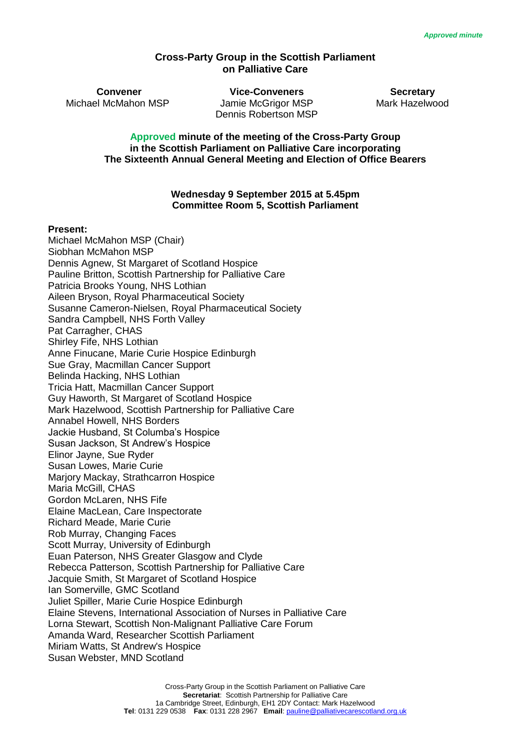#### **Cross-Party Group in the Scottish Parliament on Palliative Care**

**Convener Vice-Conveners Secretary** Michael McMahon MSP Jamie McGrigor MSP Mark Hazelwood Dennis Robertson MSP

**Approved minute of the meeting of the Cross-Party Group in the Scottish Parliament on Palliative Care incorporating The Sixteenth Annual General Meeting and Election of Office Bearers**

#### **Wednesday 9 September 2015 at 5.45pm Committee Room 5, Scottish Parliament**

#### **Present:**

Michael McMahon MSP (Chair) Siobhan McMahon MSP Dennis Agnew, St Margaret of Scotland Hospice Pauline Britton, Scottish Partnership for Palliative Care Patricia Brooks Young, NHS Lothian Aileen Bryson, Royal Pharmaceutical Society Susanne Cameron-Nielsen, Royal Pharmaceutical Society Sandra Campbell, NHS Forth Valley Pat Carragher, CHAS Shirley Fife, NHS Lothian Anne Finucane, Marie Curie Hospice Edinburgh Sue Gray, Macmillan Cancer Support Belinda Hacking, NHS Lothian Tricia Hatt, Macmillan Cancer Support Guy Haworth, St Margaret of Scotland Hospice Mark Hazelwood, Scottish Partnership for Palliative Care Annabel Howell, NHS Borders Jackie Husband, St Columba's Hospice Susan Jackson, St Andrew's Hospice Elinor Jayne, Sue Ryder Susan Lowes, Marie Curie Marjory Mackay, Strathcarron Hospice Maria McGill, CHAS Gordon McLaren, NHS Fife Elaine MacLean, Care Inspectorate Richard Meade, Marie Curie Rob Murray, Changing Faces Scott Murray, University of Edinburgh Euan Paterson, NHS Greater Glasgow and Clyde Rebecca Patterson, Scottish Partnership for Palliative Care Jacquie Smith, St Margaret of Scotland Hospice Ian Somerville, GMC Scotland Juliet Spiller, Marie Curie Hospice Edinburgh Elaine Stevens, International Association of Nurses in Palliative Care Lorna Stewart, Scottish Non-Malignant Palliative Care Forum Amanda Ward, Researcher Scottish Parliament Miriam Watts, St Andrew's Hospice Susan Webster, MND Scotland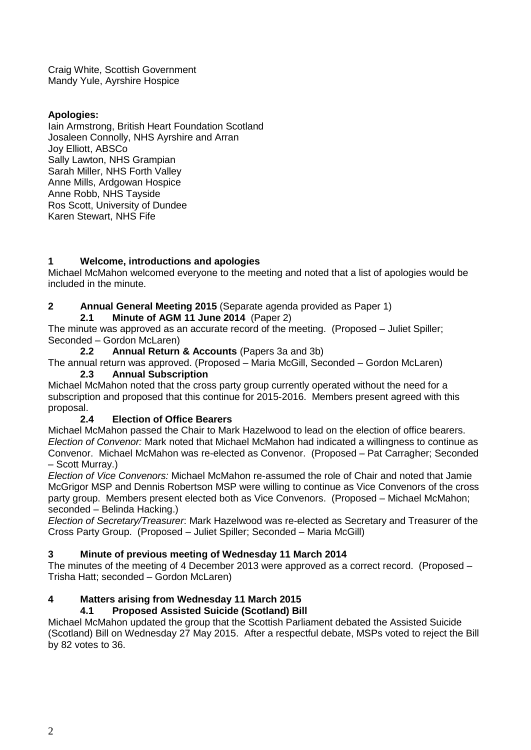Craig White, Scottish Government Mandy Yule, Ayrshire Hospice

# **Apologies:**

Iain Armstrong, British Heart Foundation Scotland Josaleen Connolly, NHS Ayrshire and Arran Joy Elliott, ABSCo Sally Lawton, NHS Grampian Sarah Miller, NHS Forth Valley Anne Mills, Ardgowan Hospice Anne Robb, NHS Tayside Ros Scott, University of Dundee Karen Stewart, NHS Fife

# **1 Welcome, introductions and apologies**

Michael McMahon welcomed everyone to the meeting and noted that a list of apologies would be included in the minute.

# **2 Annual General Meeting 2015** (Separate agenda provided as Paper 1)

**2.1 Minute of AGM 11 June 2014** (Paper 2)

The minute was approved as an accurate record of the meeting. (Proposed – Juliet Spiller; Seconded – Gordon McLaren)

### **2.2 Annual Return & Accounts** (Papers 3a and 3b)

The annual return was approved. (Proposed – Maria McGill, Seconded – Gordon McLaren) **2.3 Annual Subscription**

Michael McMahon noted that the cross party group currently operated without the need for a subscription and proposed that this continue for 2015-2016. Members present agreed with this proposal.

## **2.4 Election of Office Bearers**

Michael McMahon passed the Chair to Mark Hazelwood to lead on the election of office bearers. *Election of Convenor:* Mark noted that Michael McMahon had indicated a willingness to continue as Convenor. Michael McMahon was re-elected as Convenor. (Proposed – Pat Carragher; Seconded – Scott Murray.)

*Election of Vice Convenors:* Michael McMahon re-assumed the role of Chair and noted that Jamie McGrigor MSP and Dennis Robertson MSP were willing to continue as Vice Convenors of the cross party group. Members present elected both as Vice Convenors. (Proposed – Michael McMahon; seconded – Belinda Hacking.)

*Election of Secretary/Treasurer*: Mark Hazelwood was re-elected as Secretary and Treasurer of the Cross Party Group. (Proposed – Juliet Spiller; Seconded – Maria McGill)

## **3 Minute of previous meeting of Wednesday 11 March 2014**

The minutes of the meeting of 4 December 2013 were approved as a correct record. (Proposed – Trisha Hatt; seconded – Gordon McLaren)

## **4 Matters arising from Wednesday 11 March 2015**

## **4.1 Proposed Assisted Suicide (Scotland) Bill**

Michael McMahon updated the group that the Scottish Parliament debated the Assisted Suicide (Scotland) Bill on Wednesday 27 May 2015. After a respectful debate, MSPs voted to reject the Bill by 82 votes to 36.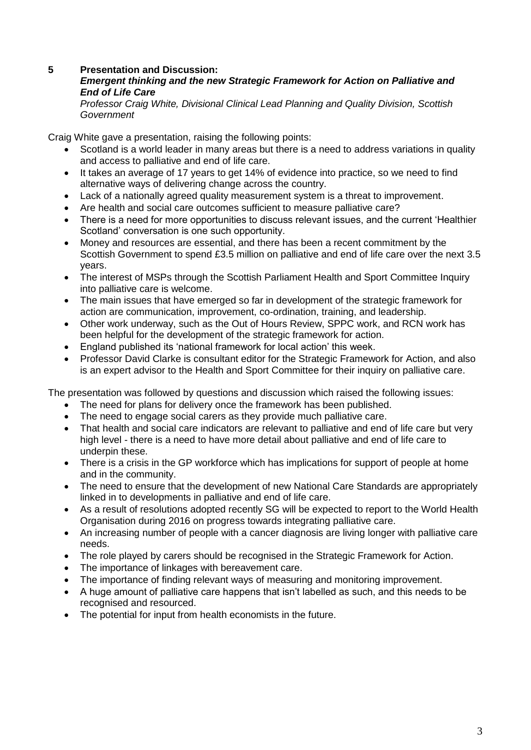### **5 Presentation and Discussion:**

### *Emergent thinking and the new Strategic Framework for Action on Palliative and End of Life Care*

*Professor Craig White, Divisional Clinical Lead Planning and Quality Division, Scottish Government*

Craig White gave a presentation, raising the following points:

- Scotland is a world leader in many areas but there is a need to address variations in quality and access to palliative and end of life care.
- It takes an average of 17 years to get 14% of evidence into practice, so we need to find alternative ways of delivering change across the country.
- Lack of a nationally agreed quality measurement system is a threat to improvement.
- Are health and social care outcomes sufficient to measure palliative care?
- There is a need for more opportunities to discuss relevant issues, and the current 'Healthier Scotland' conversation is one such opportunity.
- Money and resources are essential, and there has been a recent commitment by the Scottish Government to spend £3.5 million on palliative and end of life care over the next 3.5 years.
- The interest of MSPs through the Scottish Parliament Health and Sport Committee Inquiry into palliative care is welcome.
- The main issues that have emerged so far in development of the strategic framework for action are communication, improvement, co-ordination, training, and leadership.
- Other work underway, such as the Out of Hours Review, SPPC work, and RCN work has been helpful for the development of the strategic framework for action.
- England published its 'national framework for local action' this week.
- Professor David Clarke is consultant editor for the Strategic Framework for Action, and also is an expert advisor to the Health and Sport Committee for their inquiry on palliative care.

The presentation was followed by questions and discussion which raised the following issues:

- The need for plans for delivery once the framework has been published.
- The need to engage social carers as they provide much palliative care.
- That health and social care indicators are relevant to palliative and end of life care but very high level - there is a need to have more detail about palliative and end of life care to underpin these.
- There is a crisis in the GP workforce which has implications for support of people at home and in the community.
- The need to ensure that the development of new National Care Standards are appropriately linked in to developments in palliative and end of life care.
- As a result of resolutions adopted recently SG will be expected to report to the World Health Organisation during 2016 on progress towards integrating palliative care.
- An increasing number of people with a cancer diagnosis are living longer with palliative care needs.
- The role played by carers should be recognised in the Strategic Framework for Action.
- The importance of linkages with bereavement care.
- The importance of finding relevant ways of measuring and monitoring improvement.
- A huge amount of palliative care happens that isn't labelled as such, and this needs to be recognised and resourced.
- The potential for input from health economists in the future.